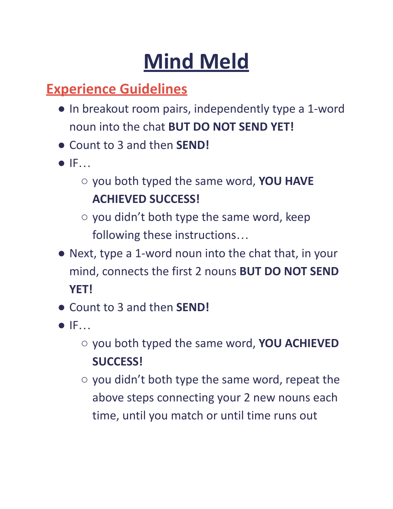## **Mind Meld**

#### **Experience Guidelines**

- In breakout room pairs, independently type a 1-word noun into the chat **BUT DO NOT SEND YET!**
- Count to 3 and then **SEND!**
- IF…
	- you both typed the same word, **YOU HAVE ACHIEVED SUCCESS!**
	- you didn't both type the same word, keep following these instructions…
- Next, type a 1-word noun into the chat that, in your mind, connects the first 2 nouns **BUT DO NOT SEND YET!**
- Count to 3 and then **SEND!**
- IF…
	- you both typed the same word, **YOU ACHIEVED SUCCESS!**
	- $\circ$  you didn't both type the same word, repeat the above steps connecting your 2 new nouns each time, until you match or until time runs out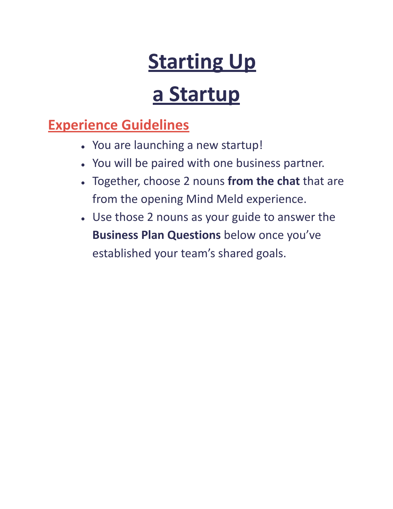## **Starting Up**

### **a Startup**

#### **Experience Guidelines**

- You are launching a new startup!
- You will be paired with one business partner.
- Together, choose 2 nouns **from the chat** that are from the opening Mind Meld experience.
- Use those 2 nouns as your guide to answer the **Business Plan Questions** below once you've established your team's shared goals.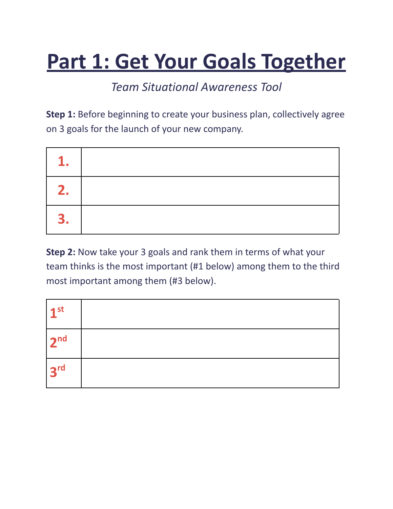### **Part 1: Get Your Goals Together**

#### *Team Situational Awareness Tool*

**Step 1:** Before beginning to create your business plan, collectively agree on 3 goals for the launch of your new company.

| 1  |  |
|----|--|
| 2. |  |
| 3. |  |

**Step 2:** Now take your 3 goals and rank them in terms of what your team thinks is the most important (#1 below) among them to the third most important among them (#3 below).

| 1 <sup>st</sup> |  |
|-----------------|--|
| 2 <sup>nd</sup> |  |
| 3 <sup>rd</sup> |  |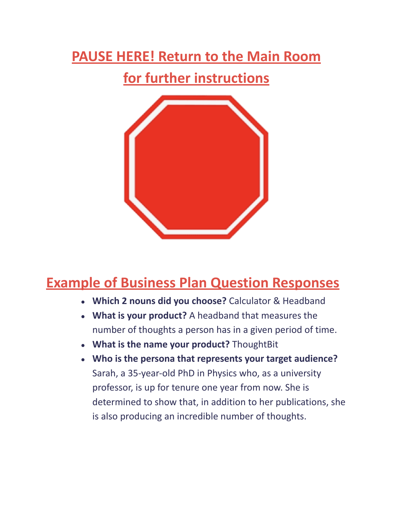### **PAUSE HERE! Return to the Main Room**

#### **for further instructions**



#### **Example of Business Plan Question Responses**

- **Which 2 nouns did you choose?** Calculator & Headband
- **What is your product?** A headband that measures the number of thoughts a person has in a given period of time.
- **What is the name your product?** ThoughtBit
- **Who is the persona that represents your target audience?** Sarah, a 35-year-old PhD in Physics who, as a university professor, is up for tenure one year from now. She is determined to show that, in addition to her publications, she is also producing an incredible number of thoughts.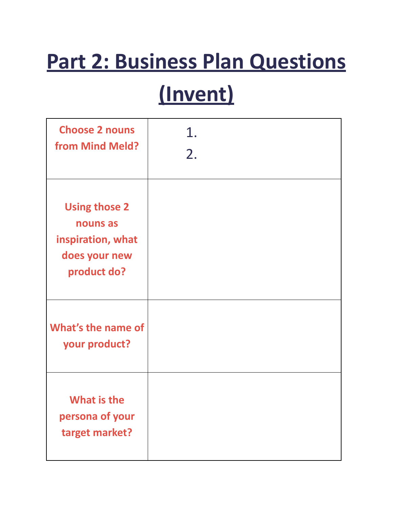# **Part 2: Business Plan Questions**

## **(Invent)**

| <b>Choose 2 nouns</b><br>from Mind Meld?                                              | 1.<br>2. |
|---------------------------------------------------------------------------------------|----------|
| <b>Using those 2</b><br>nouns as<br>inspiration, what<br>does your new<br>product do? |          |
| What's the name of<br>your product?                                                   |          |
| <b>What is the</b><br>persona of your<br>target market?                               |          |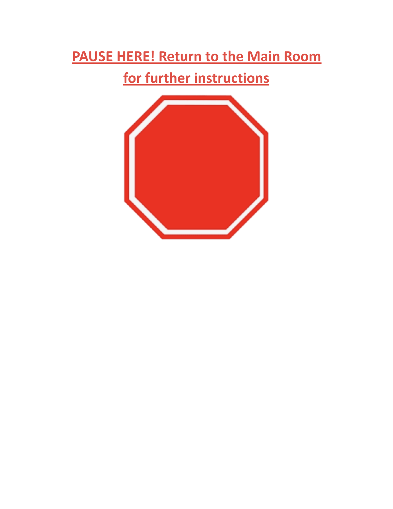### **PAUSE HERE! Return to the Main Room**

#### **for further instructions**